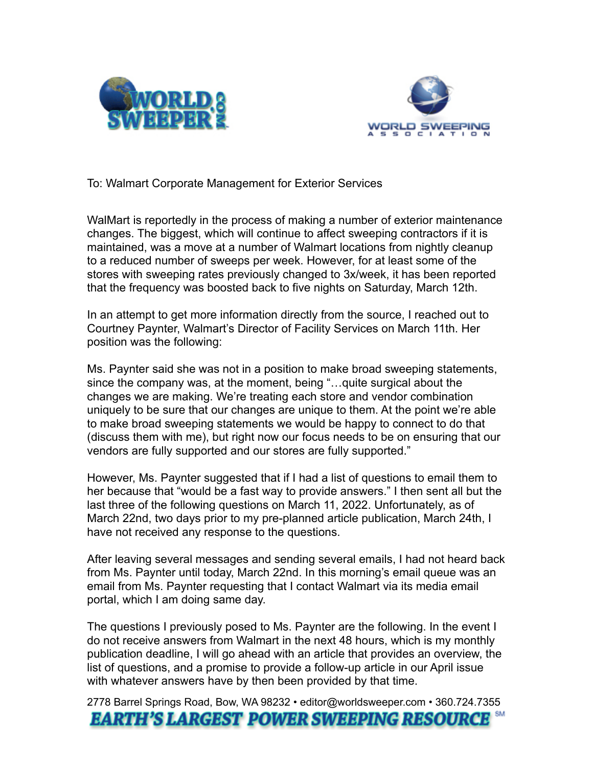



To: Walmart Corporate Management for Exterior Services

WalMart is reportedly in the process of making a number of exterior maintenance changes. The biggest, which will continue to affect sweeping contractors if it is maintained, was a move at a number of Walmart locations from nightly cleanup to a reduced number of sweeps per week. However, for at least some of the stores with sweeping rates previously changed to 3x/week, it has been reported that the frequency was boosted back to five nights on Saturday, March 12th.

In an attempt to get more information directly from the source, I reached out to Courtney Paynter, Walmart's Director of Facility Services on March 11th. Her position was the following:

Ms. Paynter said she was not in a position to make broad sweeping statements, since the company was, at the moment, being "…quite surgical about the changes we are making. We're treating each store and vendor combination uniquely to be sure that our changes are unique to them. At the point we're able to make broad sweeping statements we would be happy to connect to do that (discuss them with me), but right now our focus needs to be on ensuring that our vendors are fully supported and our stores are fully supported."

However, Ms. Paynter suggested that if I had a list of questions to email them to her because that "would be a fast way to provide answers." I then sent all but the last three of the following questions on March 11, 2022. Unfortunately, as of March 22nd, two days prior to my pre-planned article publication, March 24th, I have not received any response to the questions.

After leaving several messages and sending several emails, I had not heard back from Ms. Paynter until today, March 22nd. In this morning's email queue was an email from Ms. Paynter requesting that I contact Walmart via its media email portal, which I am doing same day.

The questions I previously posed to Ms. Paynter are the following. In the event I do not receive answers from Walmart in the next 48 hours, which is my monthly publication deadline, I will go ahead with an article that provides an overview, the list of questions, and a promise to provide a follow-up article in our April issue with whatever answers have by then been provided by that time.

2778 Barrel Springs Road, Bow, WA 98232 • editor@worldsweeper.com • 360.724.7355**EARTH'S LARGEST POWER SWEEPING RESOURCE**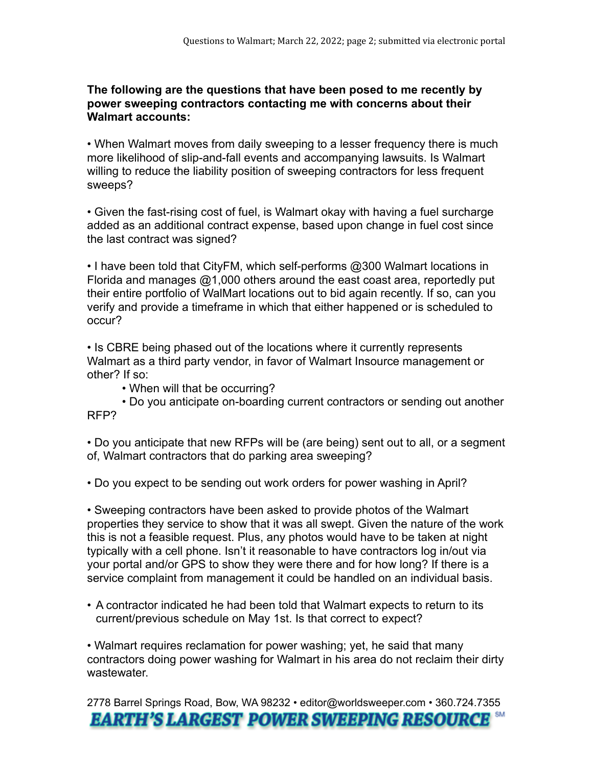## **The following are the questions that have been posed to me recently by power sweeping contractors contacting me with concerns about their Walmart accounts:**

• When Walmart moves from daily sweeping to a lesser frequency there is much more likelihood of slip-and-fall events and accompanying lawsuits. Is Walmart willing to reduce the liability position of sweeping contractors for less frequent sweeps?

• Given the fast-rising cost of fuel, is Walmart okay with having a fuel surcharge added as an additional contract expense, based upon change in fuel cost since the last contract was signed?

• I have been told that CityFM, which self-performs @300 Walmart locations in Florida and manages @1,000 others around the east coast area, reportedly put their entire portfolio of WalMart locations out to bid again recently. If so, can you verify and provide a timeframe in which that either happened or is scheduled to occur?

• Is CBRE being phased out of the locations where it currently represents Walmart as a third party vendor, in favor of Walmart Insource management or other? If so:

• When will that be occurring?

 • Do you anticipate on-boarding current contractors or sending out another RFP?

• Do you anticipate that new RFPs will be (are being) sent out to all, or a segment of, Walmart contractors that do parking area sweeping?

• Do you expect to be sending out work orders for power washing in April?

• Sweeping contractors have been asked to provide photos of the Walmart properties they service to show that it was all swept. Given the nature of the work this is not a feasible request. Plus, any photos would have to be taken at night typically with a cell phone. Isn't it reasonable to have contractors log in/out via your portal and/or GPS to show they were there and for how long? If there is a service complaint from management it could be handled on an individual basis.

• A contractor indicated he had been told that Walmart expects to return to its current/previous schedule on May 1st. Is that correct to expect?

• Walmart requires reclamation for power washing; yet, he said that many contractors doing power washing for Walmart in his area do not reclaim their dirty wastewater.

2778 Barrel Springs Road, Bow, WA 98232 • editor@worldsweeper.com • 360.724.7355 **EARTH'S LARGEST POWER SWEEPING RESOURCE**